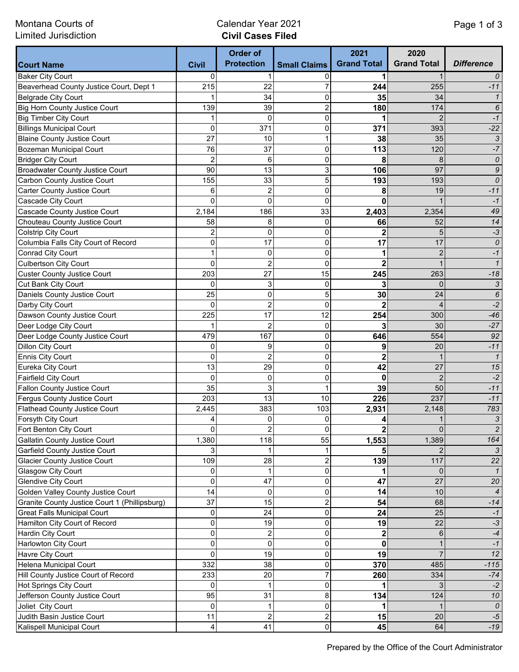Montana Courts of Limited Jurisdiction

## Calendar Year 2021 **Civil Cases Filed**

|                                               |                | <b>Order of</b><br><b>Protection</b> | <b>Small Claims</b>     | 2021<br><b>Grand Total</b> | 2020<br><b>Grand Total</b> | <b>Difference</b>   |
|-----------------------------------------------|----------------|--------------------------------------|-------------------------|----------------------------|----------------------------|---------------------|
| <b>Court Name</b>                             | <b>Civil</b>   |                                      |                         |                            |                            |                     |
| <b>Baker City Court</b>                       | 0              |                                      | 0                       |                            |                            | 0                   |
| Beaverhead County Justice Court, Dept 1       | 215            | 22                                   |                         | 244                        | 255                        | $-11$               |
| <b>Belgrade City Court</b>                    |                | 34                                   | 0                       | 35                         | 34                         | $\mathbf{1}$        |
| <b>Big Horn County Justice Court</b>          | 139            | 39                                   | 2                       | 180                        | 174                        | 6                   |
| <b>Big Timber City Court</b>                  |                | 0                                    | 0                       |                            | 2                          | $-1$                |
| <b>Billings Municipal Court</b>               | 0              | 371                                  | 0                       | 371                        | 393                        | $-22$               |
| <b>Blaine County Justice Court</b>            | 27             | 10                                   | 1                       | 38                         | 35                         | 3                   |
| <b>Bozeman Municipal Court</b>                | 76             | 37                                   | 0                       | 113                        | 120                        | $-7$                |
| <b>Bridger City Court</b>                     | $\overline{2}$ | 6                                    | 0                       | 8                          | 8                          | $\pmb{\mathit{O}}$  |
| <b>Broadwater County Justice Court</b>        | 90             | 13                                   | 3                       | 106                        | 97                         | 9                   |
| Carbon County Justice Court                   | 155            | 33                                   | 5                       | 193                        | 193                        | 0                   |
| Carter County Justice Court                   | 6              | $\overline{c}$                       | 0                       | 8                          | 19                         | $-11$               |
| Cascade City Court                            | $\Omega$       | 0                                    | $\mathbf{0}$            | $\mathbf{0}$               |                            | $-1$                |
| Cascade County Justice Court                  | 2,184          | 186                                  | 33                      | 2,403                      | 2,354                      | 49                  |
| Chouteau County Justice Court                 | 58             | 8                                    | 0                       | 66                         | 52                         | 14                  |
| <b>Colstrip City Court</b>                    | $\overline{c}$ | 0                                    | 0                       | $\overline{2}$             | 5                          | $-3$                |
| Columbia Falls City Court of Record           | 0              | 17                                   | 0                       | 17                         | 17                         | 0                   |
| <b>Conrad City Court</b>                      | 1              | 0                                    | 0                       | 1                          | $\overline{2}$             | $-1$                |
| <b>Culbertson City Court</b>                  | 0              | $\overline{c}$                       | 0                       | $\overline{2}$             |                            | $\mathcal I$        |
| <b>Custer County Justice Court</b>            | 203            | 27                                   | 15                      | 245                        | 263                        | $-18$               |
| Cut Bank City Court                           | 0              | 3                                    | 0                       | 3                          | $\mathbf{0}$               | 3                   |
| Daniels County Justice Court                  | 25             | 0                                    | 5                       | 30                         | 24                         | 6                   |
| Darby City Court                              | $\mathbf{0}$   | $\overline{c}$                       | $\mathbf 0$             | $\overline{2}$             | 4                          | $-2$                |
| Dawson County Justice Court                   | 225            | 17                                   | 12                      | 254                        | 300                        | $-46$               |
| Deer Lodge City Court                         |                | $\overline{c}$                       | 0                       | 3                          | 30                         | $-27$               |
| Deer Lodge County Justice Court               | 479            | 167                                  | 0                       | 646                        | 554                        | 92                  |
| <b>Dillon City Court</b>                      | 0              | 9                                    | 0                       | 9                          | 20                         | $-11$               |
| <b>Ennis City Court</b>                       | $\mathbf{0}$   | $\overline{c}$                       | $\mathbf{0}$            | $\overline{2}$             | $\mathbf 1$                | $\mathcal{I}$       |
| Eureka City Court                             | 13             | 29                                   | 0                       | 42                         | 27                         | 15                  |
| <b>Fairfield City Court</b>                   | $\Omega$       | 0                                    | 0                       | 0                          | $\overline{2}$             | $-2$                |
| Fallon County Justice Court                   | 35             | 3                                    | 1                       | 39                         | 50                         | $-11$               |
| Fergus County Justice Court                   | 203            | 13                                   | 10                      | 226                        | 237                        | $-11$               |
| <b>Flathead County Justice Court</b>          | 2,445          | 383                                  | 103                     | 2,931                      | 2,148                      | 783                 |
| Forsyth City Court                            | 4              | 0                                    | 0                       | 4                          |                            | $\mathfrak{Z}$      |
| Fort Benton City Court                        | $\overline{0}$ | 2                                    | $\mathbf 0$             |                            | $\overline{0}$             | $\overline{2}$      |
| Gallatin County Justice Court                 | 1,380          | 118                                  | 55                      | $\mathbf 2$                | 1,389                      | 164                 |
|                                               | 3              |                                      |                         | 1,553                      |                            |                     |
| Garfield County Justice Court                 | 109            | 28                                   |                         |                            | 117                        | $\mathcal{S}$<br>22 |
| <b>Glacier County Justice Court</b>           |                | 1                                    | 2<br>0                  | 139                        | $\overline{0}$             |                     |
| Glasgow City Court                            | 0              |                                      |                         |                            | 27                         | 1                   |
| <b>Glendive City Court</b>                    | 0              | 47                                   | 0                       | 47                         |                            | 20                  |
| Golden Valley County Justice Court            | 14             | $\mathbf 0$                          | 0                       | 14                         | 10                         | $\overline{4}$      |
| Granite County Justice Court 1 (Phillipsburg) | 37             | 15                                   | $\overline{c}$          | 54                         | 68                         | $-14$               |
| <b>Great Falls Municipal Court</b>            | 0              | 24                                   | 0                       | 24                         | 25                         | $-1$                |
| Hamilton City Court of Record                 | 0              | 19                                   | 0                       | 19                         | 22                         | $-3$                |
| Hardin City Court                             | 0              | $\overline{\mathbf{c}}$              | 0                       | $\mathbf 2$                | 6                          | $-4$                |
| Harlowton City Court                          | 0              | 0                                    | 0                       | $\bf{0}$                   |                            | $-1$                |
| Havre City Court                              | 0              | 19                                   | 0                       | 19                         | $\overline{7}$             | 12                  |
| Helena Municipal Court                        | 332            | 38                                   | 0                       | 370                        | 485                        | $-115$              |
| Hill County Justice Court of Record           | 233            | 20                                   | $\overline{7}$          | 260                        | 334                        | $-74$               |
| <b>Hot Springs City Court</b>                 | 0              | 1                                    | 0                       |                            | 3                          | $-2$                |
| Jefferson County Justice Court                | 95             | 31                                   | 8                       | 134                        | 124                        | 10                  |
| Joliet City Court                             | 0              | 1                                    | 0                       | 1                          |                            | 0                   |
| Judith Basin Justice Court                    | 11             | $\overline{c}$                       | $\overline{\mathbf{c}}$ | 15                         | 20                         | $-5$                |
| Kalispell Municipal Court                     | 4              | 41                                   | $\pmb{0}$               | 45                         | 64                         | $-19$               |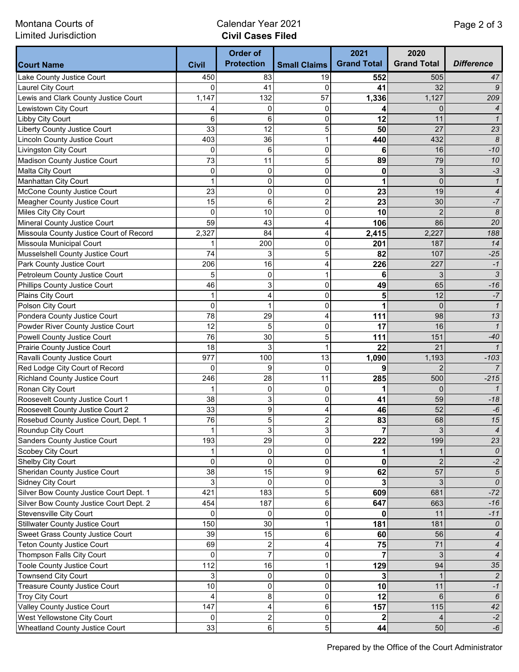Montana Courts of Limited Jurisdiction

## Calendar Year 2021 **Civil Cases Filed**

|                                                            |                                | <b>Order of</b>   |                     | 2021               | 2020               |                          |
|------------------------------------------------------------|--------------------------------|-------------------|---------------------|--------------------|--------------------|--------------------------|
| <b>Court Name</b>                                          | <b>Civil</b>                   | <b>Protection</b> | <b>Small Claims</b> | <b>Grand Total</b> | <b>Grand Total</b> | <b>Difference</b>        |
| Lake County Justice Court                                  | 450                            | 83                | 19                  | 552                | 505                | 47                       |
| Laurel City Court                                          | 0                              | 41                | $\Omega$            | 41                 | 32                 | 9                        |
| Lewis and Clark County Justice Court                       | 1,147                          | 132               | 57                  | 1,336              | 1,127              | 209                      |
| Lewistown City Court                                       | 4                              | 0                 | 0                   | 4                  | 0                  | $\overline{4}$           |
| Libby City Court                                           | 6                              | 6                 | 0                   | 12                 | 11                 | $\mathbf{1}$             |
| Liberty County Justice Court                               | 33                             | 12                | 5                   | 50                 | 27                 | 23                       |
| <b>Lincoln County Justice Court</b>                        | 403                            | 36                | $\mathbf{1}$        | 440                | 432                | $\boldsymbol{8}$         |
| Livingston City Court                                      | 0                              | 6                 | 0                   | 6                  | 16                 | $-10$                    |
| Madison County Justice Court                               | 73                             | 11                | 5                   | 89                 | 79                 | 10                       |
| Malta City Court                                           | 0                              | 0                 | 0                   | 0                  | 3                  | $-3$                     |
| <b>Manhattan City Court</b>                                | 1                              | 0                 | 0                   | 1                  | $\overline{0}$     | $\mathbf{1}$             |
| McCone County Justice Court                                | 23                             | 0                 | 0                   | 23                 | 19                 | $\overline{\mathcal{A}}$ |
| Meagher County Justice Court                               | 15                             | 6                 | $\overline{c}$      | 23                 | 30                 | $-7$                     |
| Miles City City Court                                      | $\mathbf 0$                    | 10                | 0                   | 10                 | $\overline{2}$     | $\boldsymbol{8}$         |
| Mineral County Justice Court                               | 59                             | 43                | 4                   | 106                | 86                 | 20                       |
| Missoula County Justice Court of Record                    | 2,327                          | 84                | 4                   | 2,415              | 2,227              | 188                      |
| Missoula Municipal Court                                   | 1                              | 200               | 0                   | 201                | 187                | 14                       |
| Musselshell County Justice Court                           | 74                             | 3                 | 5                   | 82                 | 107                | $-25$                    |
| Park County Justice Court                                  | 206                            | 16                | 4                   | 226                | 227                | $-1$                     |
| Petroleum County Justice Court                             | 5                              | 0                 | 1                   | 6                  | 3                  | $\sqrt{3}$               |
| Phillips County Justice Court                              | 46                             | 3                 | 0                   | 49                 | 65                 | $-16$                    |
| Plains City Court                                          | 1                              | 4                 | 0                   | 5                  | 12                 | $\textnormal{-}7$        |
| Polson City Court                                          | $\mathbf 0$                    | 1                 | 0                   | 1                  | $\overline{0}$     | $\mathbf{1}$             |
| Pondera County Justice Court                               | 78                             | 29                | 4                   | 111                | 98                 | 13                       |
| Powder River County Justice Court                          | 12                             | 5                 | 0                   | 17                 | 16                 | $\mathbf{1}$             |
| Powell County Justice Court                                | 76                             | 30                | 5                   | 111                | 151                | $-40$                    |
| Prairie County Justice Court                               | 18                             | 3                 | 1                   | 22                 | 21                 | $\mathcal{I}$            |
| Ravalli County Justice Court                               | 977                            | 100               | 13                  | 1,090              | 1,193              | $-103$                   |
| Red Lodge City Court of Record                             | 0                              | 9                 | 0                   | 9                  | 2                  | $\overline{7}$           |
| <b>Richland County Justice Court</b>                       | 246                            | 28                | 11                  | 285                | 500                | $-215$                   |
| Ronan City Court                                           | 1                              | 0                 | 0                   | 1                  | 0                  | $\mathcal{I}$            |
| Roosevelt County Justice Court 1                           | 38                             | 3                 | 0                   | 41                 | 59                 | $-18$                    |
| Roosevelt County Justice Court 2                           | 33                             | 9                 | 4                   | 46                 | 52                 | $\textnormal{-}6$        |
| Rosebud County Justice Court, Dept. 1                      | 76                             | 5                 | 2                   | 83                 | 68                 | 15                       |
| Roundup City Court                                         | 1                              | 3                 | 3                   | 7                  | $\mathbf{3}$       | $\overline{4}$           |
| Sanders County Justice Court                               | 193                            | 29                | 0                   | 222                | 199                | 23                       |
| Scobey City Court                                          | $\mathbf{1}$                   | 0                 | 0                   |                    |                    | 0                        |
| Shelby City Court                                          | $\mathbf{0}$                   | 0                 | 0                   | 0                  | $\overline{2}$     | $-2$                     |
| Sheridan County Justice Court                              | 38                             | 15                | 9                   | 62                 | 57                 | $\sqrt{5}$               |
| Sidney City Court                                          | 3                              | 0                 | 0                   | 3                  | 3                  | 0                        |
| Silver Bow County Justice Court Dept. 1                    | 421                            | 183               | 5                   | 609                | 681                | $-72$                    |
| Silver Bow County Justice Court Dept. 2                    | 454                            | 187               | 6                   | 647                | 663                | $-16$                    |
| Stevensville City Court                                    | $\Omega$                       | 0                 | 0                   | 0                  | 11                 | $-11$                    |
| <b>Stillwater County Justice Court</b>                     | 150                            | 30                | 1                   | 181                | 181                | 0                        |
| Sweet Grass County Justice Court                           | 39                             | 15                | 6                   | 60                 | 56                 | $\boldsymbol{4}$         |
| <b>Teton County Justice Court</b>                          | 69                             | $\overline{c}$    | 4                   |                    | 71                 | $\boldsymbol{4}$         |
|                                                            | 0                              | 7                 | 0                   | 75<br>7            | 3                  |                          |
| Thompson Falls City Court                                  | 112                            | 16                |                     |                    | 94                 | $\boldsymbol{4}$<br>35   |
| Toole County Justice Court                                 | 3                              |                   |                     | 129                |                    |                          |
| Townsend City Court                                        |                                | 0                 | 0                   | 3                  |                    | $\overline{c}$           |
| Treasure County Justice Court                              | 10                             | 0                 | 0                   | 10                 | 11                 | $-1$                     |
| Troy City Court                                            | $\overline{\mathbf{4}}$<br>147 | 8                 | 0<br>6              | 12<br>157          | 6<br>115           | $6\overline{6}$<br>42    |
| Valley County Justice Court<br>West Yellowstone City Court | 0                              | 4<br>2            | 0                   |                    | 4                  | $-2$                     |
| <b>Wheatland County Justice Court</b>                      | 33                             | $\overline{6}$    | 5                   | 44                 | 50                 | $\textnormal{-}6$        |
|                                                            |                                |                   |                     |                    |                    |                          |